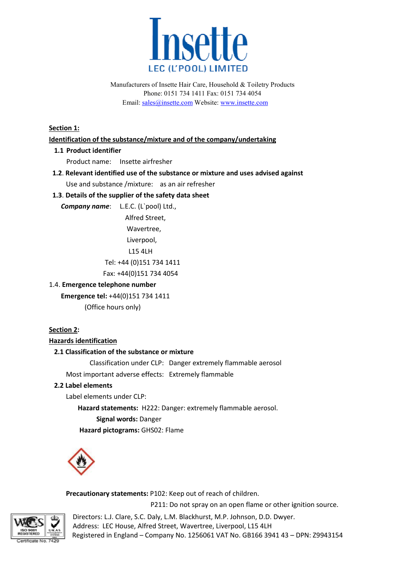

**Section 1:** 

#### **Identification of the substance/mixture and of the company/undertaking**

#### **1.1 Product identifier**

Product name: Insette airfresher

 **1.2**. **Relevant identified use of the substance or mixture and uses advised against mixture** Use and substance /mixture: as an air refresher

# **1.3**. **Details of the supplier of the safety data sheet**

 *Company name*: L.E.C. (L`pool) Ltd.,

 Alfred Street, Wavertree, Liverpool, L15 4LH Tel: +44 (0)151 734 1411

Fax: +44(0)151 734 4054

#### 1.4. **Emergence telephone number**

# **Emergence tel:** +44(0)151 734 1411

(Office hours only)

# **Section 2:**

#### **Hazards identification**

#### **2.1 Classification of the substance or mixture**

Classification under CLP: Danger extremely flammable aerosol

Most important adverse effects: Extremely flammable

# **2.2 Label elements**

Label elements under CLP:

Hazard statements: H222: Danger: extremely flammable aerosol.  **Signal words:** Danger

**Hazard pictograms:** GHS02: Flame



Precautionary statements: P102: Keep out of reach of children.

P211: Do not spray on an open flame or other ignition source.

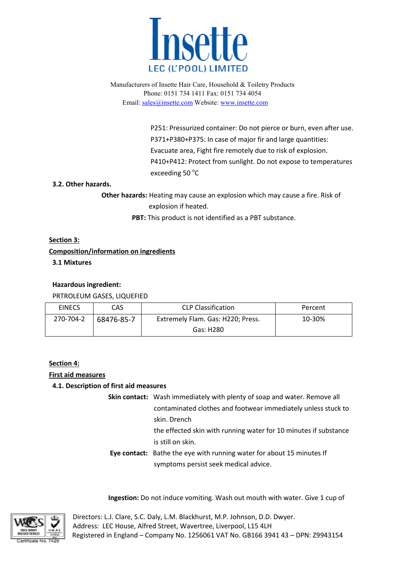

> P251: Pressurized container: Do not pierce or burn, even after use. P371+P380+P375: In case of major fir and large quantities: Evacuate area, Fight fire remotely due to risk of explosion. P410+P412: Protect from sunlight. Do not expose to temperatures exceeding 50 °C P251: Pressurized container: Do not pierce or burn, even after use.<br>
> P371+P380+P375: In case of major fir and large quantities:<br>
> Evacuate area, Fight fire remotely due to risk of explosion.<br>
> P410+P412: Protect from sunligh

# **3.2. Other hazards.**

**Other hazards:** Heating may cause an explosion which may cause a fire. Risk of explosion if heated.

PBT: This product is not identified as a PBT substance.

# **Section 3:**

# **Composition/information on ingredients**

 **3.1 Mixtures**

#### **Hazardous ingredient:**

#### PRTROLEUM GASES, LIQUEFIED

| <b>EINECS</b> | CAS.       | <b>CLP Classification</b>         | Percent |
|---------------|------------|-----------------------------------|---------|
| 270-704-2     | 68476-85-7 | Extremely Flam. Gas: H220; Press. | 10-30%  |
|               |            | Gas: H280                         |         |

#### **Section 4:**

#### **First aid measures**

# **4.1. Description of first aid measures**

 **Skin contact:**  Wash immediately with plenty of soap and water. Remove all contaminated clothes and footwear immediately unless stuck to skin. Drench

> the effected skin with running water for 10 minutes if substance is still on skin.

# **Eye contact:** Bathe the eye with running water for about 15 minutes If symptoms persist seek medical advice.

Ingestion: Do not induce vomiting. Wash out mouth with water. Give 1 cup of

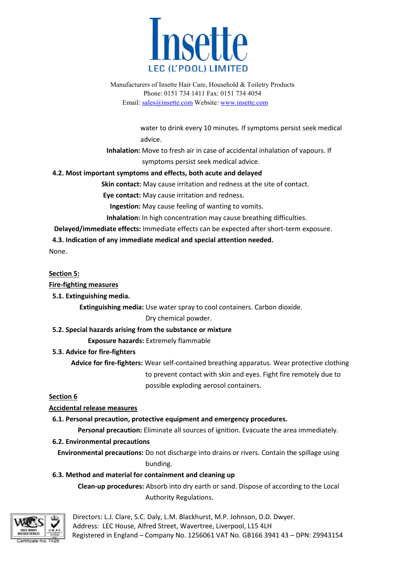

water to drink every 10 minutes. If symptoms persist seek medical advice.

 **Inhalation:** Move to fresh air in case of accidental inhalation of vapours. If symptoms persist seek medical advice.

# **4.2. Most important symptoms and effects, both acute and delayed**

 **Skin contact:** May cause irritation and redness at the site of contact.

**Eye contact:** May cause irritation and redness.

**Ingestion:** May cause feeling of wanting to vomits.

 **Inhalation:** In high concentration may cause breathing difficulties.

**Delayed/immediate effects:** Immediate effects can be expected after short-term exposure.

#### **4.3. Indication of any immediate medical and special attention needed.**

None.

# **Section 5:**

# **Fire-fighting measures**

 **5.1. Extinguishing media.**

**Extinguishing media:** Use water spray to cool containers. Carbon dioxide.

# Dry chemical powder.

# **5.2. Special hazards arising from the substance or mixture**

 **Exposure hazards:** Extremely flammable

# **5.3. Advice for fire-fighters**

Advice for fire-fighters: Wear self-contained breathing apparatus. Wear protective clothing to prevent contact with skin and eyes. Fight fir fire remotely possible exploding aerosol containers. May cause irritation and redness at the site of contact.<br>
May cause irritation and redness.<br>
May cause feeling of wanting to vomits.<br>
high concentration may cause breathing difficulties.<br>
mmediate effects can be expected a

# **Section 6**

# **Accidental release measures**

# **6.1. Personal precaution, protective equipment and emergency procedures.**

Personal precaution: Eliminate all sources of ignition. Evacuate the area immediately.

# **6.2. Environmental precautions**

 **Environmental precautions:** Do not discharge into drains or rivers. Contain the spillage using bundi bunding. **Election:** Eliminate all sources of ignition. Evacuate the area immediately.<br> **6.2. Environmental precautions:** Do not discharge into drains or rivers. Contain the spillage using<br>
bunding.<br> **6.3. Method and material for c** 

# **6.3. Method and material for containment and cleaning up**

Authority Regulations.

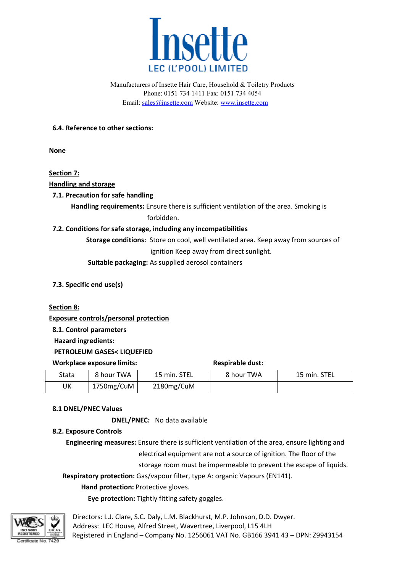

# **6.4. Reference to other sections sections:**

**None**

**Section 7:**

**Handling and storage**

# **7.1. Precaution for safe handling**

Handling requirements: Ensure there is sufficient ventilation of the area. Smoking is forbidden.

# **7.2. Conditions for safe storage, including any incompatibilities**

**Storage conditions:** Store on cool, well ventilated area. Keep away from sources of ignition Keep away from direct sunlight. Store on cool, well ventilated area. Keep away from sources in ignition Keep away from direct sunlight.<br>
As supplied aerosol containers<br> **ection**<br> **ection**<br> **a**<br> **Respirable dust:**<br> **15 min. STEL** 8 hour TWA 15 min. STEL

 **Suitable packaging:**  As supplied aerosol containers

 **7.3. Specific end use(s)** 

#### **Section 8:**

**Exposure controls/personal protection**

 **8.1. Control parameters**

 **Hazard ingredients:**

 **PETROLEUM GASES< LIQUEFIED**

#### **Workplace exposure limits:** Respirable dust:

| Stata | 8 hour TWA | 15 min. STEL | 8 hour TWA | 15 min. STEL |
|-------|------------|--------------|------------|--------------|
| UK    | 1750mg/CuM | 2180mg/CuM   |            |              |

# **8.1 DNEL/PNEC Values**

 **DNEL/PNEC: DNEL/PNEC:** No data available

# **8.2. Exposure Controls**

**Engineering measures:** Ensure there is sufficient ventilation of the area, ensure lighting and electrical equipment are not a source of ignition. The floor of the electrical equipment are not a source of ignition. The floor of the<br>storage room must be impermeable to prevent the escape of liquids.

 **Respiratory protection:** Gas/vapour filter, type A: organic Vapours (EN141).

# **Hand protection:** Protective gloves.

**Eye protection:** Tightly fitting safety goggles.

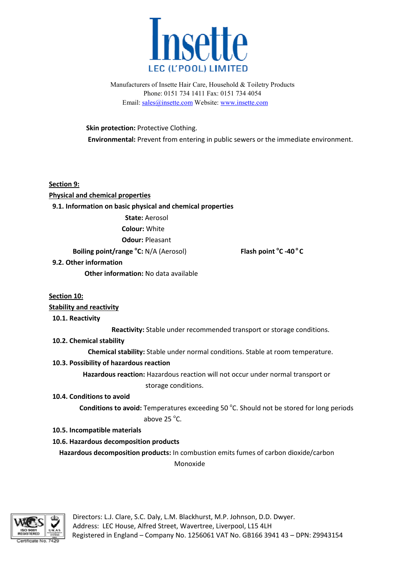

 **Skin protection:** Protective Clothing. **Environmental:** Prevent from entering in public sewers or the immediate environment.

**Section 9: Physical and chemical properties 9.1. Information on basic physical and chemical properties State:** Aerosol **Colour:** White  **Odour:** Pleasant **Boiling point/range °C: N/A (Aerosol) 9.2. Other information Other information:** No data available **Section 10: Stability and reactivity 10.1. Reactivity Reactivity:** Stable under recommended transport or storage conditions. **10.2. Chemical stability Chemical stability:** Stable under normal conditions. Stable at room temperature. **10.3. Possibility of hazardous reaction Flash point <sup>o</sup> C -40 40 o C**

# Hazardous reaction: Hazardous reaction will not occur under normal transport or storage conditions.

#### **10.4. Conditions to avoid**

**Conditions to avoid:** Temperatures exceeding 50 °C. Should not be stored for long periods  $\alpha$  above 25 °C. er normal conditions. Stable at room tem<br>reaction will not occur under normal tran<br>ditions.<br>es exceeding 50 °C. Should not be stored<br>.<br>combustion emits fumes of carbon dioxic

# **10.5. Incompatible materials**

# **10.6. Hazardous decomposition products**

 **Hazardous decomposition products:**  In combustion emits fumes of carbon dioxide/carbon Monoxide

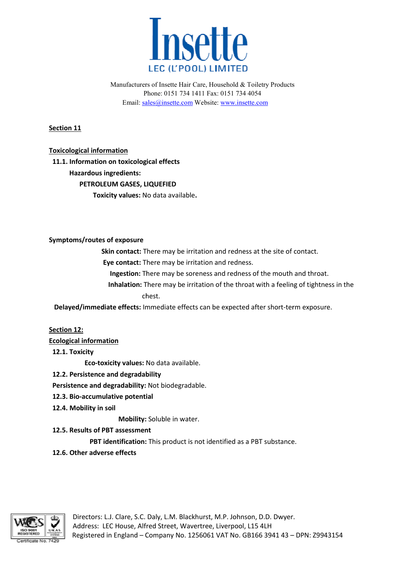

**Section 11**

**Toxicological information**

 **11.1. Information on toxicological effects Hazardous ingredients: PETROLEUM GASES, LIQUEFIED Toxicity values:** No data available **.**

**Symptoms/routes of exposure**

**Skin contact:** There may be irritation and redness at the site of contact.

**Eye contact:** There may be irritation and redness.

 **Ingestion:** There may be soreness and redness of the mouth and throat.

**Ingestion:** There may be soreness and redness of the mouth and throat.<br>**Inhalation:** There may be irritation of the throat with a feeling of tightness in the chest.

 **Delayed/immediate effects:** Immediate effects can be expected after short short-term exposure. after short-term exposure.<br>PBT substance.

**Section 12:**

**Ecological information**

 **12.1. Toxicity**

 **Eco-toxicity values:** No data available.

 **12.2. Persistence and degradability .** 

 **Persistence and degradability:**  Not biodegradable.

- **12.3. Bio-accumulative potential 12.3. Bio-accumulative potential<br><b>12.4. Mobility in soil**<br>**Mobility:** Soluble in water.
- **12.4. Mobility in soil**

**12.5. Results of PBT assessment**

**PBT identification:** This product is not identified as a PBT substance.

 **12.6. Other adverse effects**

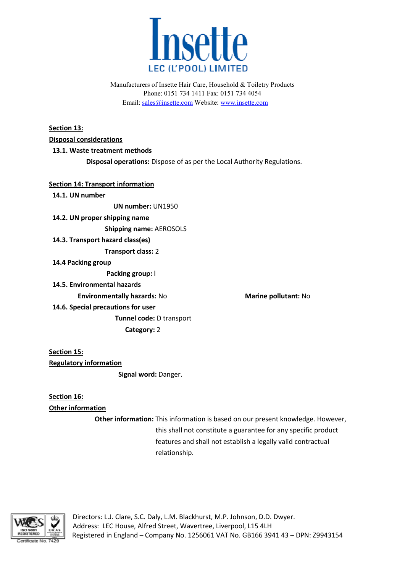

**Section 13: Disposal considerations 13.1. Waste treatment methods Disposal operations:** Dispose of as per the Local Authority Regulations. **Section 14: Transport information** 

 **14.1. UN number UN number: UN1950 14.2. UN proper shipping name Shipping name:** AEROSOLS  **14.3. Transport hazard class(es) Transport class:**  2  **14.4 Packing group Packing group:**  l **14.5. Environmental hazards Environmentally hazards hazards:** No **Marine pollutant:** No

 **14.6. Special precautions for user Tunnel code:**  D transport **Category: 2** 

**Section 15: Regulatory information Signal word:**  Danger.

**Section 16: Other information**

**Other information:** This information is based on our present knowledge. However, this shall not constitute a guarantee for any specific product features and shall not establish a legally valid contractual relationship. This information is based on ou:<br>this shall not constitute a guara<br>features and shall not establish